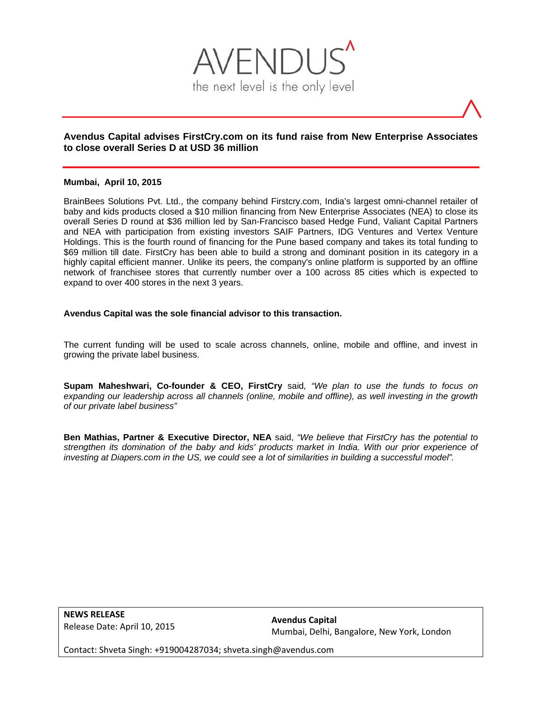

# **Avendus Capital advises FirstCry.com on its fund raise from New Enterprise Associates to close overall Series D at USD 36 million**

#### **Mumbai, April 10, 2015**

BrainBees Solutions Pvt. Ltd., the company behind Firstcry.com, India's largest omni-channel retailer of baby and kids products closed a \$10 million financing from New Enterprise Associates (NEA) to close its overall Series D round at \$36 million led by San-Francisco based Hedge Fund, Valiant Capital Partners and NEA with participation from existing investors SAIF Partners, IDG Ventures and Vertex Venture Holdings. This is the fourth round of financing for the Pune based company and takes its total funding to \$69 million till date. FirstCry has been able to build a strong and dominant position in its category in a highly capital efficient manner. Unlike its peers, the company's online platform is supported by an offline network of franchisee stores that currently number over a 100 across 85 cities which is expected to expand to over 400 stores in the next 3 years.

#### **Avendus Capital was the sole financial advisor to this transaction.**

The current funding will be used to scale across channels, online, mobile and offline, and invest in growing the private label business.

**Supam Maheshwari, Co-founder & CEO, FirstCry** said*, "We plan to use the funds to focus on expanding our leadership across all channels (online, mobile and offline), as well investing in the growth of our private label business"* 

**Ben Mathias, Partner & Executive Director, NEA** said, *"We believe that FirstCry has the potential to strengthen its domination of the baby and kids' products market in India. With our prior experience of investing at Diapers.com in the US, we could see a lot of similarities in building a successful model".* 

**NEWS RELEASE** Release Date: April 10, 2015

**Avendus Capital** Mumbai, Delhi, Bangalore, New York, London

Contact: Shveta Singh: +919004287034; shveta.singh@avendus.com